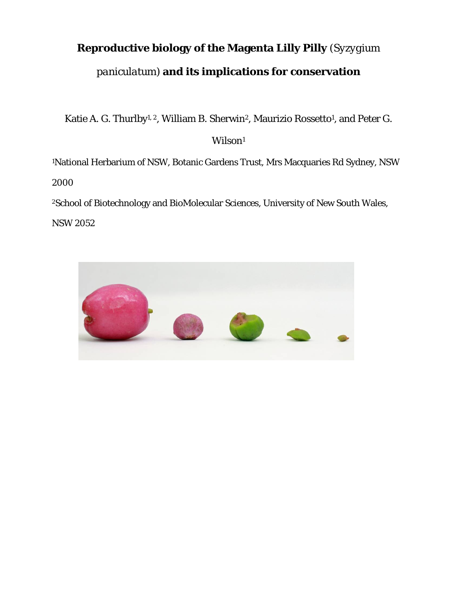# **Reproductive biology of the Magenta Lilly Pilly** *(Syzygium paniculatum)* **and its implications for conservation**

Katie A. G. Thurlby<sup>1, 2</sup>, William B. Sherwin<sup>2</sup>, Maurizio Rossetto<sup>1</sup>, and Peter G.

# Wilson<sup>1</sup>

1National Herbarium of NSW, Botanic Gardens Trust, Mrs Macquaries Rd Sydney, NSW

2000

2School of Biotechnology and BioMolecular Sciences, University of New South Wales,

NSW 2052

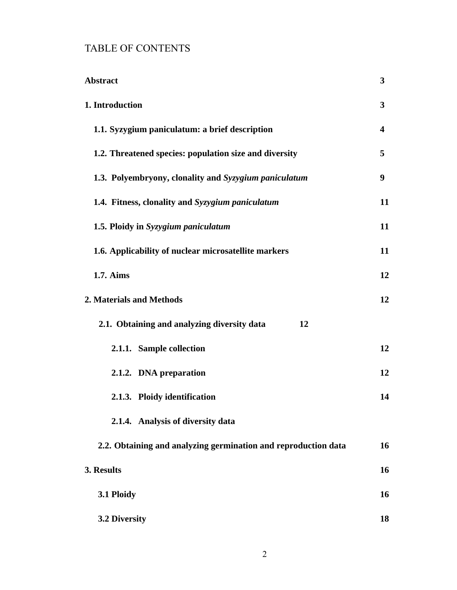# TABLE OF CONTENTS

| <b>Abstract</b>                                                | 3                       |
|----------------------------------------------------------------|-------------------------|
| 1. Introduction                                                | 3                       |
| 1.1. Syzygium paniculatum: a brief description                 | $\overline{\mathbf{4}}$ |
| 1.2. Threatened species: population size and diversity         | 5                       |
| 1.3. Polyembryony, clonality and Syzygium paniculatum          | 9                       |
| 1.4. Fitness, clonality and Syzygium paniculatum               | 11                      |
| 1.5. Ploidy in Syzygium paniculatum                            | 11                      |
| 1.6. Applicability of nuclear microsatellite markers           | 11                      |
| 1.7. Aims                                                      | 12                      |
| 2. Materials and Methods                                       | 12                      |
| 2.1. Obtaining and analyzing diversity data<br>12              |                         |
| 2.1.1. Sample collection                                       | 12                      |
| 2.1.2. DNA preparation                                         | 12                      |
| 2.1.3. Ploidy identification                                   | 14                      |
| 2.1.4. Analysis of diversity data                              |                         |
| 2.2. Obtaining and analyzing germination and reproduction data | 16                      |
| 3. Results                                                     | 16                      |
| 3.1 Ploidy                                                     | 16                      |
| 3.2 Diversity                                                  | 18                      |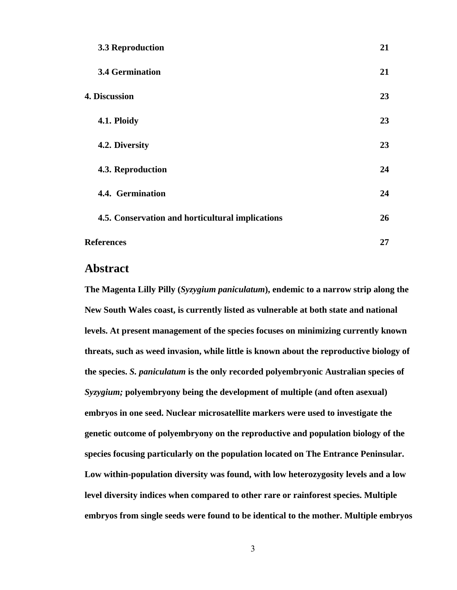| 3.3 Reproduction                                 | 21 |
|--------------------------------------------------|----|
| <b>3.4 Germination</b>                           | 21 |
| <b>4. Discussion</b>                             | 23 |
| 4.1. Ploidy                                      | 23 |
| 4.2. Diversity                                   | 23 |
| 4.3. Reproduction                                | 24 |
| 4.4. Germination                                 | 24 |
| 4.5. Conservation and horticultural implications | 26 |
| <b>References</b>                                | 27 |

## **Abstract**

**The Magenta Lilly Pilly (***Syzygium paniculatum***), endemic to a narrow strip along the New South Wales coast, is currently listed as vulnerable at both state and national levels. At present management of the species focuses on minimizing currently known threats, such as weed invasion, while little is known about the reproductive biology of the species.** *S. paniculatum* **is the only recorded polyembryonic Australian species of**  *Syzygium;* **polyembryony being the development of multiple (and often asexual) embryos in one seed. Nuclear microsatellite markers were used to investigate the genetic outcome of polyembryony on the reproductive and population biology of the species focusing particularly on the population located on The Entrance Peninsular. Low within-population diversity was found, with low heterozygosity levels and a low level diversity indices when compared to other rare or rainforest species. Multiple embryos from single seeds were found to be identical to the mother. Multiple embryos**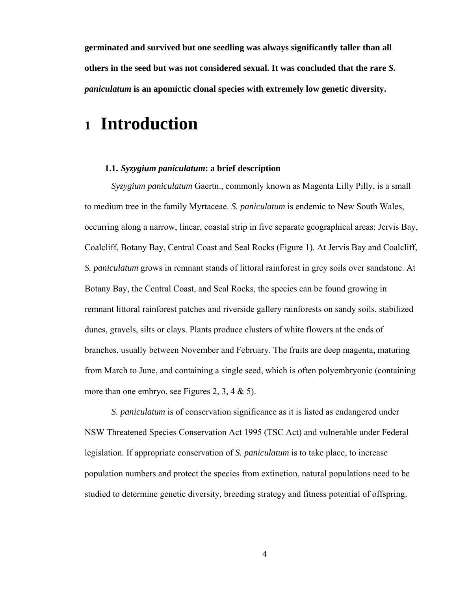**germinated and survived but one seedling was always significantly taller than all others in the seed but was not considered sexual. It was concluded that the rare** *S. paniculatum* **is an apomictic clonal species with extremely low genetic diversity.** 

# **<sup>1</sup> Introduction**

## **1.1.** *Syzygium paniculatum***: a brief description**

*Syzygium paniculatum* Gaertn., commonly known as Magenta Lilly Pilly, is a small to medium tree in the family Myrtaceae. *S. paniculatum* is endemic to New South Wales, occurring along a narrow, linear, coastal strip in five separate geographical areas: Jervis Bay, Coalcliff, Botany Bay, Central Coast and Seal Rocks (Figure 1). At Jervis Bay and Coalcliff, *S. paniculatum* grows in remnant stands of littoral rainforest in grey soils over sandstone. At Botany Bay, the Central Coast, and Seal Rocks, the species can be found growing in remnant littoral rainforest patches and riverside gallery rainforests on sandy soils, stabilized dunes, gravels, silts or clays. Plants produce clusters of white flowers at the ends of branches, usually between November and February. The fruits are deep magenta, maturing from March to June, and containing a single seed, which is often polyembryonic (containing more than one embryo, see Figures 2, 3, 4  $\&$  5).

*S. paniculatum* is of conservation significance as it is listed as endangered under NSW Threatened Species Conservation Act 1995 (TSC Act) and vulnerable under Federal legislation. If appropriate conservation of *S. paniculatum* is to take place, to increase population numbers and protect the species from extinction, natural populations need to be studied to determine genetic diversity, breeding strategy and fitness potential of offspring.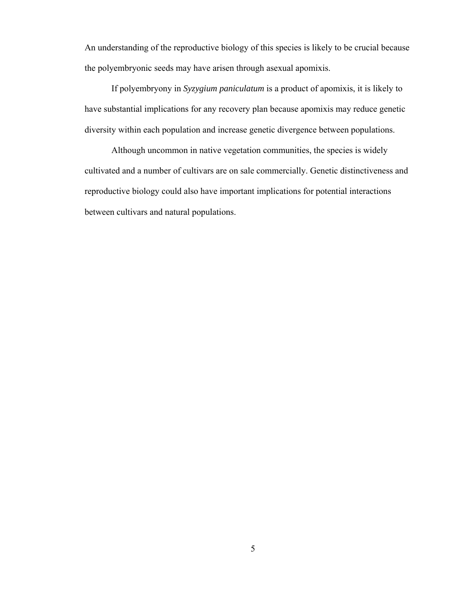An understanding of the reproductive biology of this species is likely to be crucial because the polyembryonic seeds may have arisen through asexual apomixis.

If polyembryony in *Syzygium paniculatum* is a product of apomixis, it is likely to have substantial implications for any recovery plan because apomixis may reduce genetic diversity within each population and increase genetic divergence between populations.

Although uncommon in native vegetation communities, the species is widely cultivated and a number of cultivars are on sale commercially. Genetic distinctiveness and reproductive biology could also have important implications for potential interactions between cultivars and natural populations.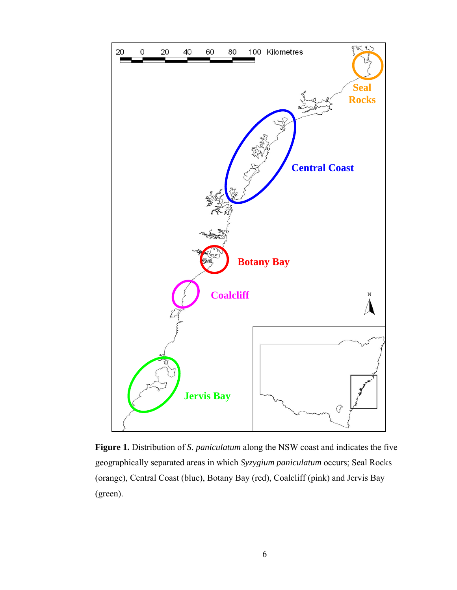

**Figure 1.** Distribution of *S. paniculatum* along the NSW coast and indicates the five geographically separated areas in which *Syzygium paniculatum* occurs; Seal Rocks (orange), Central Coast (blue), Botany Bay (red), Coalcliff (pink) and Jervis Bay (green).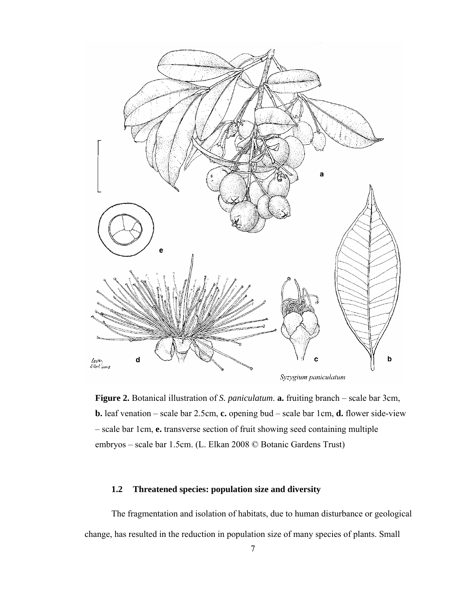

**Figure 2.** Botanical illustration of *S. paniculatum*. **a.** fruiting branch – scale bar 3cm, **b.** leaf venation – scale bar 2.5cm, **c.** opening bud – scale bar 1cm, **d.** flower side-view – scale bar 1cm, **e.** transverse section of fruit showing seed containing multiple embryos – scale bar 1.5cm. (L. Elkan 2008 © Botanic Gardens Trust)

## **1.2 Threatened species: population size and diversity**

The fragmentation and isolation of habitats, due to human disturbance or geological change, has resulted in the reduction in population size of many species of plants. Small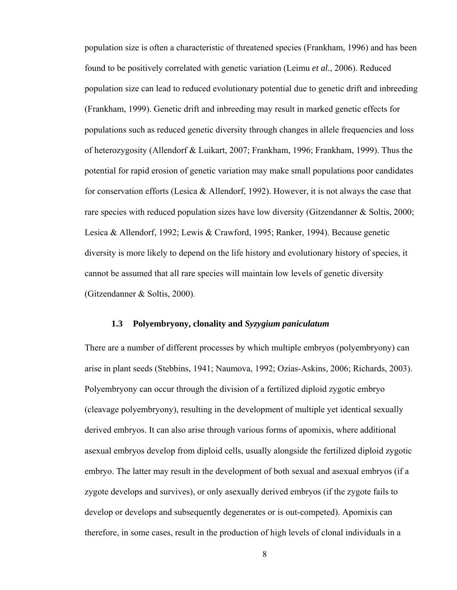population size is often a characteristic of threatened species (Frankham, 1996) and has been found to be positively correlated with genetic variation (Leimu *et al.*, 2006). Reduced population size can lead to reduced evolutionary potential due to genetic drift and inbreeding (Frankham, 1999). Genetic drift and inbreeding may result in marked genetic effects for populations such as reduced genetic diversity through changes in allele frequencies and loss of heterozygosity (Allendorf & Luikart, 2007; Frankham, 1996; Frankham, 1999). Thus the potential for rapid erosion of genetic variation may make small populations poor candidates for conservation efforts (Lesica & Allendorf, 1992). However, it is not always the case that rare species with reduced population sizes have low diversity (Gitzendanner & Soltis, 2000; Lesica & Allendorf, 1992; Lewis & Crawford, 1995; Ranker, 1994). Because genetic diversity is more likely to depend on the life history and evolutionary history of species, it cannot be assumed that all rare species will maintain low levels of genetic diversity (Gitzendanner & Soltis, 2000).

#### **1.3 Polyembryony, clonality and** *Syzygium paniculatum*

There are a number of different processes by which multiple embryos (polyembryony) can arise in plant seeds (Stebbins, 1941; Naumova, 1992; Ozias-Askins, 2006; Richards, 2003). Polyembryony can occur through the division of a fertilized diploid zygotic embryo (cleavage polyembryony), resulting in the development of multiple yet identical sexually derived embryos. It can also arise through various forms of apomixis, where additional asexual embryos develop from diploid cells, usually alongside the fertilized diploid zygotic embryo. The latter may result in the development of both sexual and asexual embryos (if a zygote develops and survives), or only asexually derived embryos (if the zygote fails to develop or develops and subsequently degenerates or is out-competed). Apomixis can therefore, in some cases, result in the production of high levels of clonal individuals in a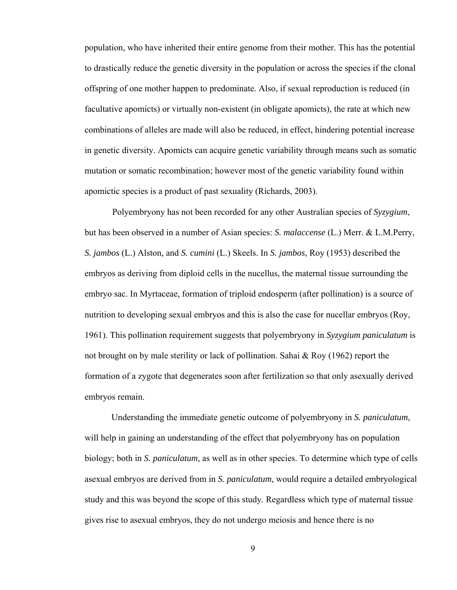population, who have inherited their entire genome from their mother. This has the potential to drastically reduce the genetic diversity in the population or across the species if the clonal offspring of one mother happen to predominate. Also, if sexual reproduction is reduced (in facultative apomicts) or virtually non-existent (in obligate apomicts), the rate at which new combinations of alleles are made will also be reduced, in effect, hindering potential increase in genetic diversity. Apomicts can acquire genetic variability through means such as somatic mutation or somatic recombination; however most of the genetic variability found within apomictic species is a product of past sexuality (Richards, 2003).

Polyembryony has not been recorded for any other Australian species of *Syzygium*, but has been observed in a number of Asian species: *S. malaccense* (L.) Merr. & L.M.Perry*, S. jambos* (L.) Alston*,* and *S. cumini* (L.) Skeels. In *S. jambos*, Roy (1953) described the embryos as deriving from diploid cells in the nucellus, the maternal tissue surrounding the embryo sac. In Myrtaceae, formation of triploid endosperm (after pollination) is a source of nutrition to developing sexual embryos and this is also the case for nucellar embryos (Roy, 1961). This pollination requirement suggests that polyembryony in *Syzygium paniculatum* is not brought on by male sterility or lack of pollination. Sahai & Roy (1962) report the formation of a zygote that degenerates soon after fertilization so that only asexually derived embryos remain.

Understanding the immediate genetic outcome of polyembryony in *S. paniculatum*, will help in gaining an understanding of the effect that polyembryony has on population biology; both in *S. paniculatum,* as well as in other species. To determine which type of cells asexual embryos are derived from in *S. paniculatum*, would require a detailed embryological study and this was beyond the scope of this study*.* Regardless which type of maternal tissue gives rise to asexual embryos, they do not undergo meiosis and hence there is no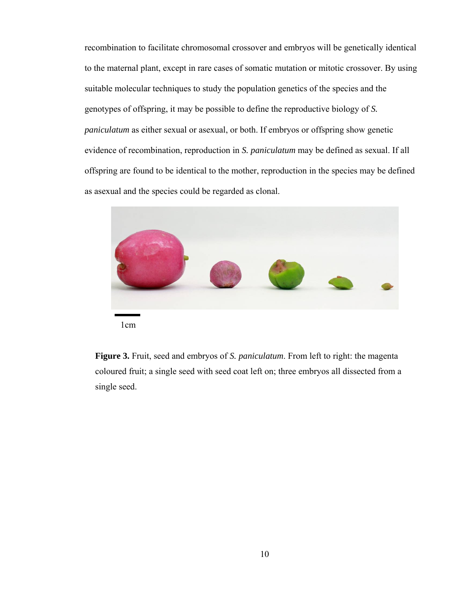recombination to facilitate chromosomal crossover and embryos will be genetically identical to the maternal plant, except in rare cases of somatic mutation or mitotic crossover. By using suitable molecular techniques to study the population genetics of the species and the genotypes of offspring, it may be possible to define the reproductive biology of *S. paniculatum* as either sexual or asexual, or both. If embryos or offspring show genetic evidence of recombination, reproduction in *S. paniculatum* may be defined as sexual. If all offspring are found to be identical to the mother, reproduction in the species may be defined as asexual and the species could be regarded as clonal.



1cm

**Figure 3.** Fruit, seed and embryos of *S. paniculatum*. From left to right: the magenta coloured fruit; a single seed with seed coat left on; three embryos all dissected from a single seed.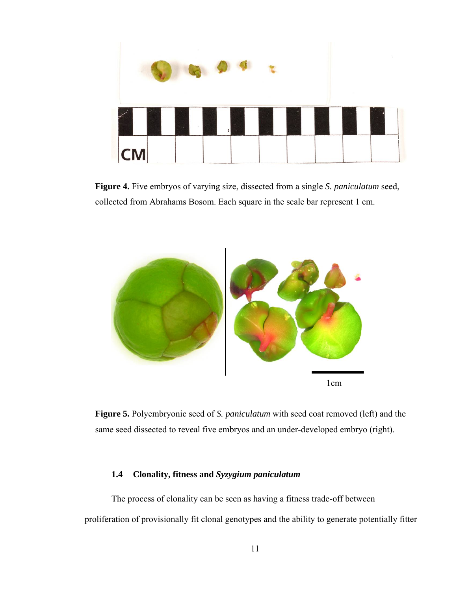

**Figure 4.** Five embryos of varying size, dissected from a single *S. paniculatum* seed, collected from Abrahams Bosom. Each square in the scale bar represent 1 cm.



**Figure 5.** Polyembryonic seed of *S. paniculatum* with seed coat removed (left) and the same seed dissected to reveal five embryos and an under-developed embryo (right).

## **1.4 Clonality, fitness and** *Syzygium paniculatum*

The process of clonality can be seen as having a fitness trade-off between proliferation of provisionally fit clonal genotypes and the ability to generate potentially fitter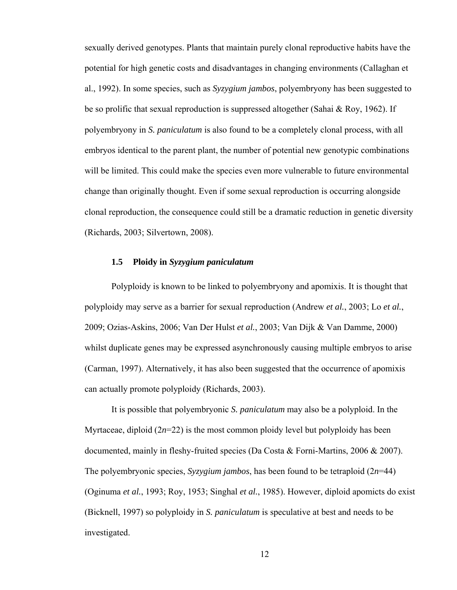sexually derived genotypes. Plants that maintain purely clonal reproductive habits have the potential for high genetic costs and disadvantages in changing environments (Callaghan et al., 1992). In some species, such as *Syzygium jambos*, polyembryony has been suggested to be so prolific that sexual reproduction is suppressed altogether (Sahai & Roy, 1962). If polyembryony in *S. paniculatum* is also found to be a completely clonal process, with all embryos identical to the parent plant, the number of potential new genotypic combinations will be limited. This could make the species even more vulnerable to future environmental change than originally thought. Even if some sexual reproduction is occurring alongside clonal reproduction, the consequence could still be a dramatic reduction in genetic diversity (Richards, 2003; Silvertown, 2008).

#### **1.5 Ploidy in** *Syzygium paniculatum*

Polyploidy is known to be linked to polyembryony and apomixis. It is thought that polyploidy may serve as a barrier for sexual reproduction (Andrew *et al.*, 2003; Lo *et al.*, 2009; Ozias-Askins, 2006; Van Der Hulst *et al.*, 2003; Van Dijk & Van Damme, 2000) whilst duplicate genes may be expressed asynchronously causing multiple embryos to arise (Carman, 1997). Alternatively, it has also been suggested that the occurrence of apomixis can actually promote polyploidy (Richards, 2003).

It is possible that polyembryonic *S. paniculatum* may also be a polyploid. In the Myrtaceae, diploid  $(2n=22)$  is the most common ploidy level but polyploidy has been documented, mainly in fleshy-fruited species (Da Costa & Forni-Martins, 2006 & 2007). The polyembryonic species, *Syzygium jambos*, has been found to be tetraploid (2*n*=44) (Oginuma *et al.*, 1993; Roy, 1953; Singhal *et al.*, 1985). However, diploid apomicts do exist (Bicknell, 1997) so polyploidy in *S. paniculatum* is speculative at best and needs to be investigated.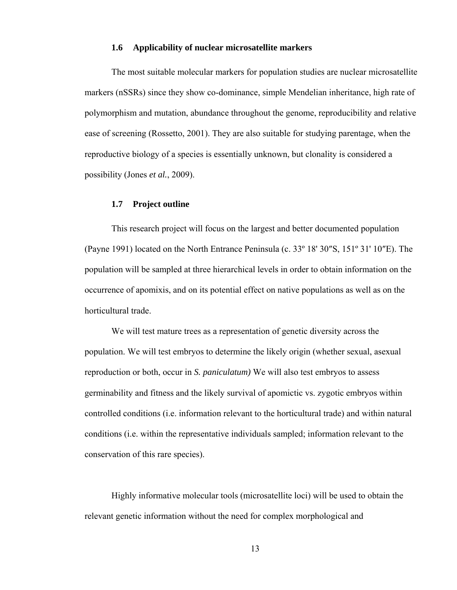#### **1.6 Applicability of nuclear microsatellite markers**

The most suitable molecular markers for population studies are nuclear microsatellite markers (nSSRs) since they show co-dominance, simple Mendelian inheritance, high rate of polymorphism and mutation, abundance throughout the genome, reproducibility and relative ease of screening (Rossetto, 2001). They are also suitable for studying parentage, when the reproductive biology of a species is essentially unknown, but clonality is considered a possibility (Jones *et al.*, 2009).

#### **1.7 Project outline**

This research project will focus on the largest and better documented population (Payne 1991) located on the North Entrance Peninsula (c. 33º 18' 30″S, 151º 31' 10″E). The population will be sampled at three hierarchical levels in order to obtain information on the occurrence of apomixis, and on its potential effect on native populations as well as on the horticultural trade.

We will test mature trees as a representation of genetic diversity across the population. We will test embryos to determine the likely origin (whether sexual, asexual reproduction or both, occur in *S. paniculatum)* We will also test embryos to assess germinability and fitness and the likely survival of apomictic vs. zygotic embryos within controlled conditions (i.e. information relevant to the horticultural trade) and within natural conditions (i.e. within the representative individuals sampled; information relevant to the conservation of this rare species).

Highly informative molecular tools (microsatellite loci) will be used to obtain the relevant genetic information without the need for complex morphological and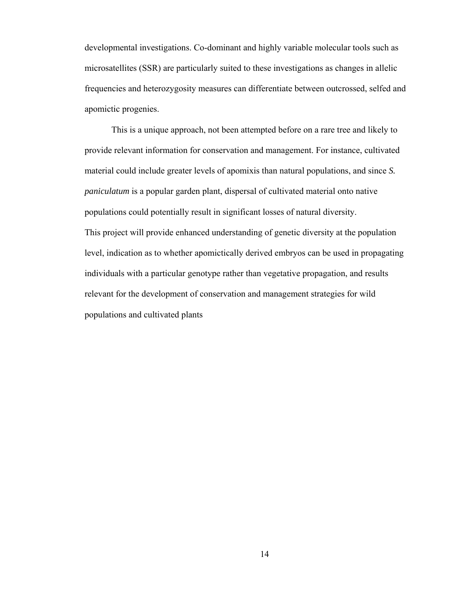developmental investigations. Co-dominant and highly variable molecular tools such as microsatellites (SSR) are particularly suited to these investigations as changes in allelic frequencies and heterozygosity measures can differentiate between outcrossed, selfed and apomictic progenies.

This is a unique approach, not been attempted before on a rare tree and likely to provide relevant information for conservation and management. For instance, cultivated material could include greater levels of apomixis than natural populations, and since *S. paniculatum* is a popular garden plant, dispersal of cultivated material onto native populations could potentially result in significant losses of natural diversity. This project will provide enhanced understanding of genetic diversity at the population level, indication as to whether apomictically derived embryos can be used in propagating individuals with a particular genotype rather than vegetative propagation, and results relevant for the development of conservation and management strategies for wild populations and cultivated plants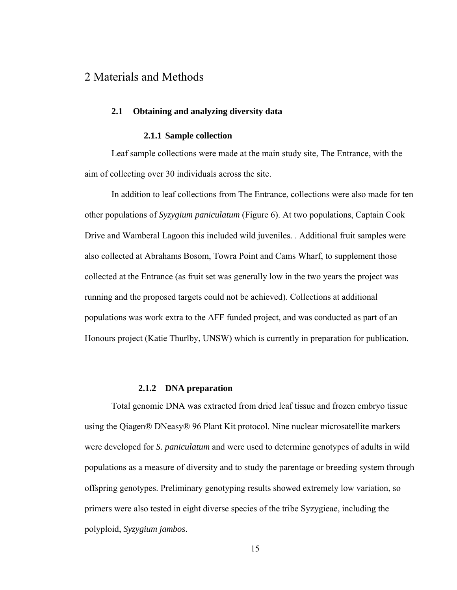# 2 Materials and Methods

#### **2.1 Obtaining and analyzing diversity data**

#### **2.1.1 Sample collection**

Leaf sample collections were made at the main study site, The Entrance, with the aim of collecting over 30 individuals across the site.

In addition to leaf collections from The Entrance, collections were also made for ten other populations of *Syzygium paniculatum* (Figure 6). At two populations, Captain Cook Drive and Wamberal Lagoon this included wild juveniles*.* . Additional fruit samples were also collected at Abrahams Bosom, Towra Point and Cams Wharf, to supplement those collected at the Entrance (as fruit set was generally low in the two years the project was running and the proposed targets could not be achieved). Collections at additional populations was work extra to the AFF funded project, and was conducted as part of an Honours project (Katie Thurlby, UNSW) which is currently in preparation for publication.

#### **2.1.2 DNA preparation**

Total genomic DNA was extracted from dried leaf tissue and frozen embryo tissue using the Qiagen® DNeasy® 96 Plant Kit protocol. Nine nuclear microsatellite markers were developed for *S. paniculatum* and were used to determine genotypes of adults in wild populations as a measure of diversity and to study the parentage or breeding system through offspring genotypes. Preliminary genotyping results showed extremely low variation, so primers were also tested in eight diverse species of the tribe Syzygieae, including the polyploid, *Syzygium jambos*.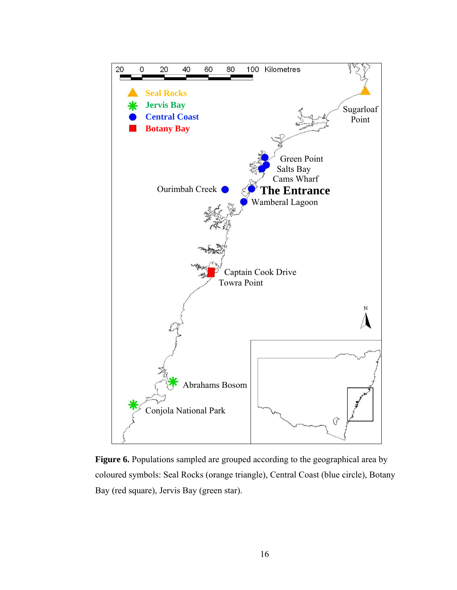

Figure 6. Populations sampled are grouped according to the geographical area by coloured symbols: Seal Rocks (orange triangle), Central Coast (blue circle), Botany Bay (red square), Jervis Bay (green star).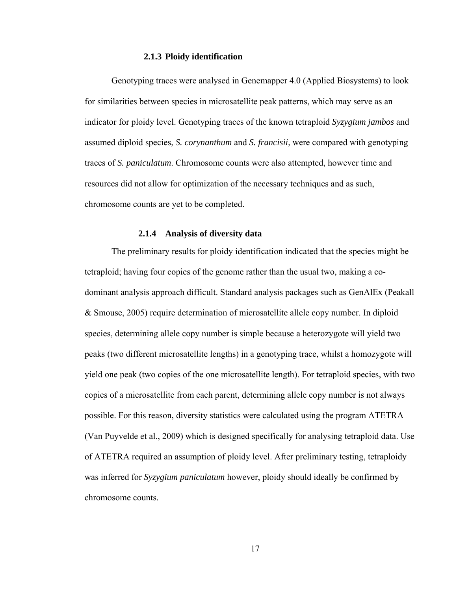#### **2.1.3 Ploidy identification**

Genotyping traces were analysed in Genemapper 4.0 (Applied Biosystems) to look for similarities between species in microsatellite peak patterns, which may serve as an indicator for ploidy level. Genotyping traces of the known tetraploid *Syzygium jambos* and assumed diploid species, *S. corynanthum* and *S. francisii*, were compared with genotyping traces of *S. paniculatum*. Chromosome counts were also attempted, however time and resources did not allow for optimization of the necessary techniques and as such, chromosome counts are yet to be completed.

### **2.1.4 Analysis of diversity data**

The preliminary results for ploidy identification indicated that the species might be tetraploid; having four copies of the genome rather than the usual two, making a codominant analysis approach difficult. Standard analysis packages such as GenAlEx (Peakall & Smouse, 2005) require determination of microsatellite allele copy number. In diploid species, determining allele copy number is simple because a heterozygote will yield two peaks (two different microsatellite lengths) in a genotyping trace, whilst a homozygote will yield one peak (two copies of the one microsatellite length). For tetraploid species, with two copies of a microsatellite from each parent, determining allele copy number is not always possible. For this reason, diversity statistics were calculated using the program ATETRA (Van Puyvelde et al., 2009) which is designed specifically for analysing tetraploid data. Use of ATETRA required an assumption of ploidy level. After preliminary testing, tetraploidy was inferred for *Syzygium paniculatum* however, ploidy should ideally be confirmed by chromosome counts*.*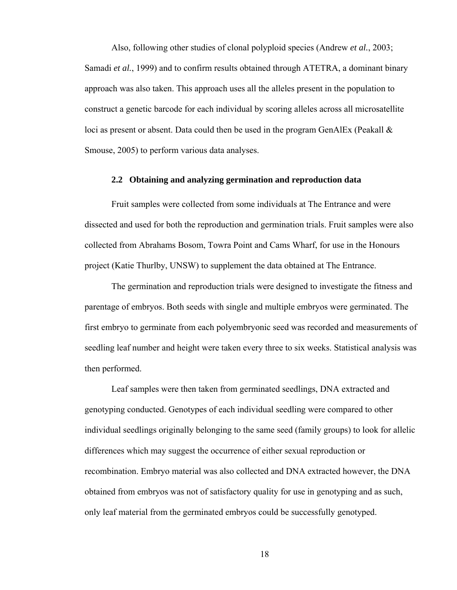Also, following other studies of clonal polyploid species (Andrew *et al.*, 2003; Samadi *et al.*, 1999) and to confirm results obtained through ATETRA, a dominant binary approach was also taken. This approach uses all the alleles present in the population to construct a genetic barcode for each individual by scoring alleles across all microsatellite loci as present or absent. Data could then be used in the program GenAlEx (Peakall & Smouse, 2005) to perform various data analyses.

#### **2.2 Obtaining and analyzing germination and reproduction data**

Fruit samples were collected from some individuals at The Entrance and were dissected and used for both the reproduction and germination trials. Fruit samples were also collected from Abrahams Bosom, Towra Point and Cams Wharf, for use in the Honours project (Katie Thurlby, UNSW) to supplement the data obtained at The Entrance.

The germination and reproduction trials were designed to investigate the fitness and parentage of embryos. Both seeds with single and multiple embryos were germinated. The first embryo to germinate from each polyembryonic seed was recorded and measurements of seedling leaf number and height were taken every three to six weeks. Statistical analysis was then performed.

Leaf samples were then taken from germinated seedlings, DNA extracted and genotyping conducted. Genotypes of each individual seedling were compared to other individual seedlings originally belonging to the same seed (family groups) to look for allelic differences which may suggest the occurrence of either sexual reproduction or recombination. Embryo material was also collected and DNA extracted however, the DNA obtained from embryos was not of satisfactory quality for use in genotyping and as such, only leaf material from the germinated embryos could be successfully genotyped.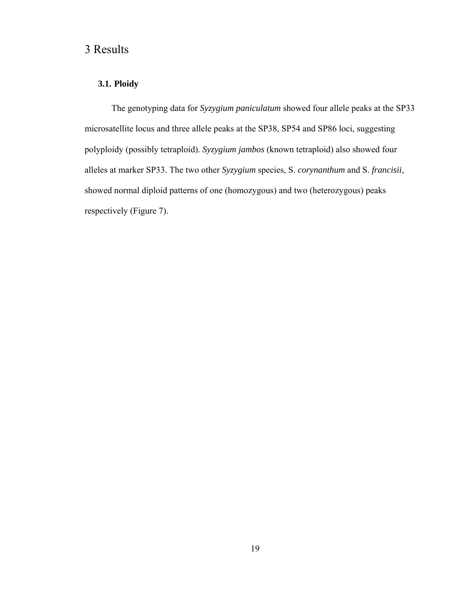# 3 Results

## **3.1. Ploidy**

The genotyping data for *Syzygium paniculatum* showed four allele peaks at the SP33 microsatellite locus and three allele peaks at the SP38, SP54 and SP86 loci, suggesting polyploidy (possibly tetraploid). *Syzygium jambos* (known tetraploid) also showed four alleles at marker SP33. The two other *Syzygium* species, S. *corynanthum* and S. *francisii*, showed normal diploid patterns of one (homozygous) and two (heterozygous) peaks respectively (Figure 7).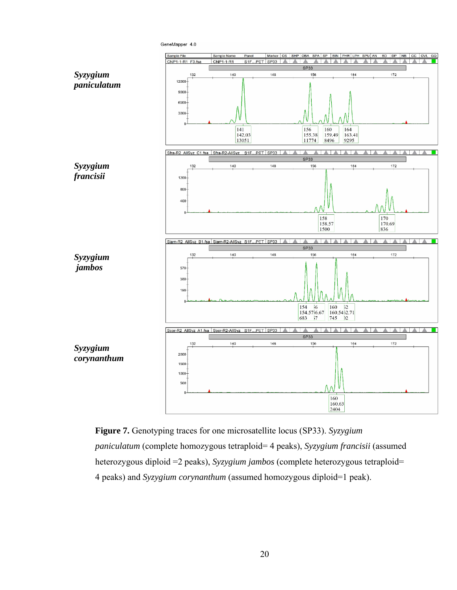



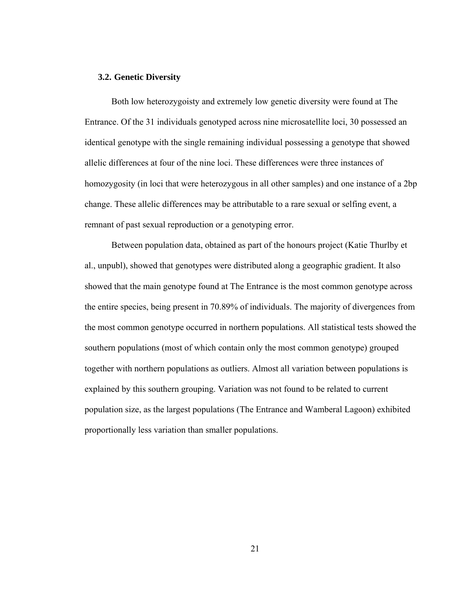#### **3.2. Genetic Diversity**

Both low heterozygoisty and extremely low genetic diversity were found at The Entrance. Of the 31 individuals genotyped across nine microsatellite loci, 30 possessed an identical genotype with the single remaining individual possessing a genotype that showed allelic differences at four of the nine loci. These differences were three instances of homozygosity (in loci that were heterozygous in all other samples) and one instance of a 2bp change. These allelic differences may be attributable to a rare sexual or selfing event, a remnant of past sexual reproduction or a genotyping error.

Between population data, obtained as part of the honours project (Katie Thurlby et al., unpubl), showed that genotypes were distributed along a geographic gradient. It also showed that the main genotype found at The Entrance is the most common genotype across the entire species, being present in 70.89% of individuals. The majority of divergences from the most common genotype occurred in northern populations. All statistical tests showed the southern populations (most of which contain only the most common genotype) grouped together with northern populations as outliers. Almost all variation between populations is explained by this southern grouping. Variation was not found to be related to current population size, as the largest populations (The Entrance and Wamberal Lagoon) exhibited proportionally less variation than smaller populations.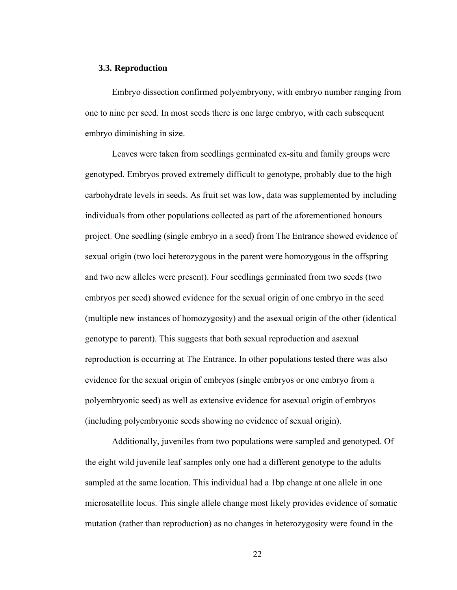#### **3.3. Reproduction**

Embryo dissection confirmed polyembryony, with embryo number ranging from one to nine per seed. In most seeds there is one large embryo, with each subsequent embryo diminishing in size.

Leaves were taken from seedlings germinated ex-situ and family groups were genotyped. Embryos proved extremely difficult to genotype, probably due to the high carbohydrate levels in seeds. As fruit set was low, data was supplemented by including individuals from other populations collected as part of the aforementioned honours project. One seedling (single embryo in a seed) from The Entrance showed evidence of sexual origin (two loci heterozygous in the parent were homozygous in the offspring and two new alleles were present). Four seedlings germinated from two seeds (two embryos per seed) showed evidence for the sexual origin of one embryo in the seed (multiple new instances of homozygosity) and the asexual origin of the other (identical genotype to parent). This suggests that both sexual reproduction and asexual reproduction is occurring at The Entrance. In other populations tested there was also evidence for the sexual origin of embryos (single embryos or one embryo from a polyembryonic seed) as well as extensive evidence for asexual origin of embryos (including polyembryonic seeds showing no evidence of sexual origin).

Additionally, juveniles from two populations were sampled and genotyped. Of the eight wild juvenile leaf samples only one had a different genotype to the adults sampled at the same location. This individual had a 1bp change at one allele in one microsatellite locus. This single allele change most likely provides evidence of somatic mutation (rather than reproduction) as no changes in heterozygosity were found in the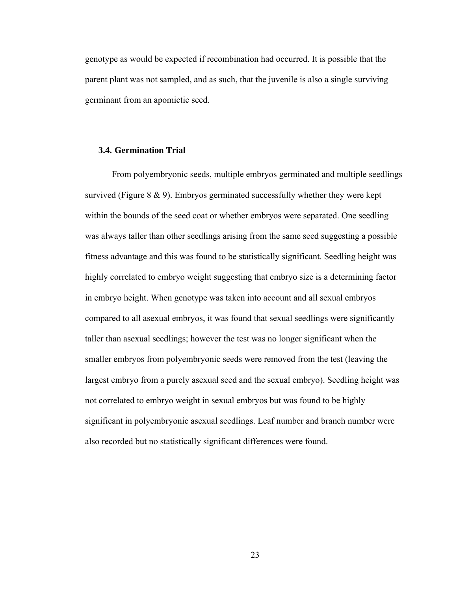genotype as would be expected if recombination had occurred. It is possible that the parent plant was not sampled, and as such, that the juvenile is also a single surviving germinant from an apomictic seed.

#### **3.4. Germination Trial**

From polyembryonic seeds, multiple embryos germinated and multiple seedlings survived (Figure 8 & 9). Embryos germinated successfully whether they were kept within the bounds of the seed coat or whether embryos were separated. One seedling was always taller than other seedlings arising from the same seed suggesting a possible fitness advantage and this was found to be statistically significant. Seedling height was highly correlated to embryo weight suggesting that embryo size is a determining factor in embryo height. When genotype was taken into account and all sexual embryos compared to all asexual embryos, it was found that sexual seedlings were significantly taller than asexual seedlings; however the test was no longer significant when the smaller embryos from polyembryonic seeds were removed from the test (leaving the largest embryo from a purely asexual seed and the sexual embryo). Seedling height was not correlated to embryo weight in sexual embryos but was found to be highly significant in polyembryonic asexual seedlings. Leaf number and branch number were also recorded but no statistically significant differences were found.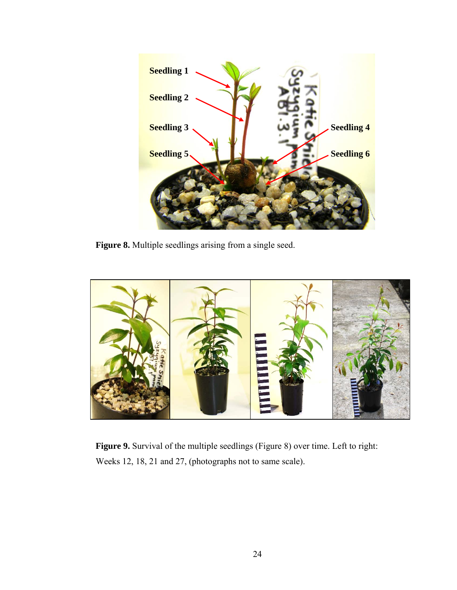

**Figure 8.** Multiple seedlings arising from a single seed.



**Figure 9.** Survival of the multiple seedlings (Figure 8) over time. Left to right: Weeks 12, 18, 21 and 27, (photographs not to same scale).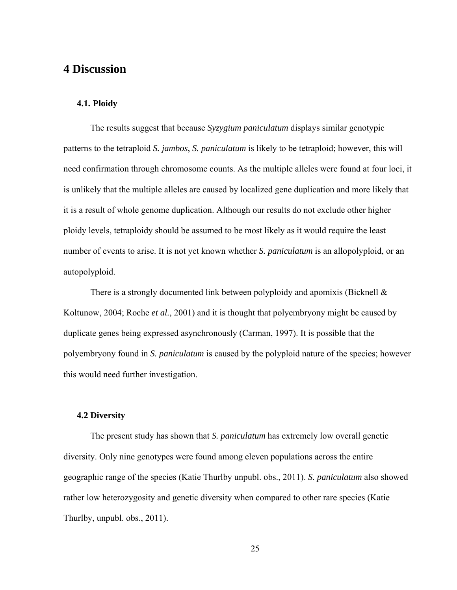# **4 Discussion**

## **4.1. Ploidy**

The results suggest that because *Syzygium paniculatum* displays similar genotypic patterns to the tetraploid *S. jambos*, *S. paniculatum* is likely to be tetraploid; however, this will need confirmation through chromosome counts. As the multiple alleles were found at four loci, it is unlikely that the multiple alleles are caused by localized gene duplication and more likely that it is a result of whole genome duplication. Although our results do not exclude other higher ploidy levels, tetraploidy should be assumed to be most likely as it would require the least number of events to arise. It is not yet known whether *S. paniculatum* is an allopolyploid, or an autopolyploid.

There is a strongly documented link between polyploidy and apomixis (Bicknell  $\&$ Koltunow, 2004; Roche *et al.*, 2001) and it is thought that polyembryony might be caused by duplicate genes being expressed asynchronously (Carman, 1997). It is possible that the polyembryony found in *S. paniculatum* is caused by the polyploid nature of the species; however this would need further investigation.

#### **4.2 Diversity**

The present study has shown that *S. paniculatum* has extremely low overall genetic diversity. Only nine genotypes were found among eleven populations across the entire geographic range of the species (Katie Thurlby unpubl. obs., 2011). *S. paniculatum* also showed rather low heterozygosity and genetic diversity when compared to other rare species (Katie Thurlby, unpubl. obs., 2011).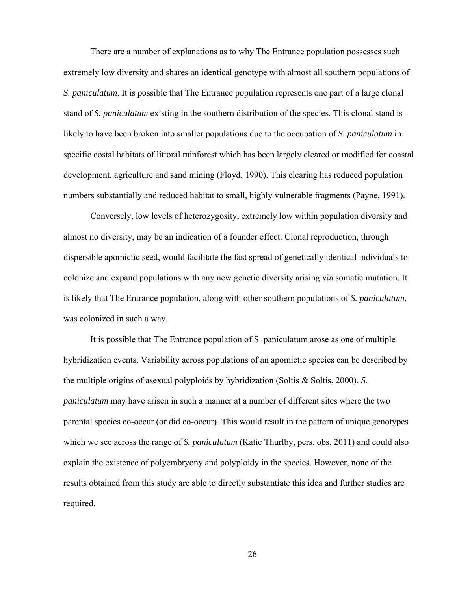There are a number of explanations as to why The Entrance population possesses such extremely low diversity and shares an identical genotype with almost all southern populations of *S. paniculatum*. It is possible that The Entrance population represents one part of a large clonal stand of *S. paniculatum* existing in the southern distribution of the species*.* This clonal stand is likely to have been broken into smaller populations due to the occupation of *S. paniculatum* in specific costal habitats of littoral rainforest which has been largely cleared or modified for coastal development, agriculture and sand mining (Floyd, 1990). This clearing has reduced population numbers substantially and reduced habitat to small, highly vulnerable fragments (Payne, 1991).

Conversely, low levels of heterozygosity, extremely low within population diversity and almost no diversity, may be an indication of a founder effect. Clonal reproduction, through dispersible apomictic seed, would facilitate the fast spread of genetically identical individuals to colonize and expand populations with any new genetic diversity arising via somatic mutation. It is likely that The Entrance population, along with other southern populations of *S. paniculatum*, was colonized in such a way.

It is possible that The Entrance population of S. paniculatum arose as one of multiple hybridization events. Variability across populations of an apomictic species can be described by the multiple origins of asexual polyploids by hybridization (Soltis & Soltis, 2000). *S. paniculatum* may have arisen in such a manner at a number of different sites where the two parental species co-occur (or did co-occur). This would result in the pattern of unique genotypes which we see across the range of *S. paniculatum* (Katie Thurlby, pers. obs. 2011) and could also explain the existence of polyembryony and polyploidy in the species. However, none of the results obtained from this study are able to directly substantiate this idea and further studies are required.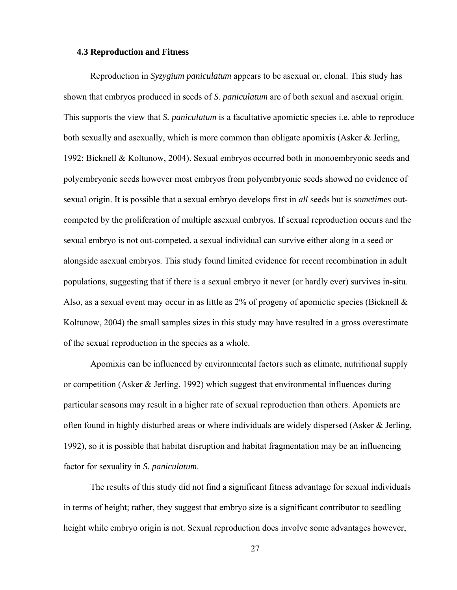#### **4.3 Reproduction and Fitness**

Reproduction in *Syzygium paniculatum* appears to be asexual or, clonal. This study has shown that embryos produced in seeds of *S. paniculatum* are of both sexual and asexual origin. This supports the view that *S. paniculatum* is a facultative apomictic species i.e. able to reproduce both sexually and asexually, which is more common than obligate apomixis (Asker & Jerling, 1992; Bicknell & Koltunow, 2004). Sexual embryos occurred both in monoembryonic seeds and polyembryonic seeds however most embryos from polyembryonic seeds showed no evidence of sexual origin. It is possible that a sexual embryo develops first in *all* seeds but is *sometimes* outcompeted by the proliferation of multiple asexual embryos. If sexual reproduction occurs and the sexual embryo is not out-competed, a sexual individual can survive either along in a seed or alongside asexual embryos. This study found limited evidence for recent recombination in adult populations, suggesting that if there is a sexual embryo it never (or hardly ever) survives in-situ. Also, as a sexual event may occur in as little as 2% of progeny of apomictic species (Bicknell  $\&$ Koltunow, 2004) the small samples sizes in this study may have resulted in a gross overestimate of the sexual reproduction in the species as a whole.

Apomixis can be influenced by environmental factors such as climate, nutritional supply or competition (Asker & Jerling, 1992) which suggest that environmental influences during particular seasons may result in a higher rate of sexual reproduction than others. Apomicts are often found in highly disturbed areas or where individuals are widely dispersed (Asker & Jerling, 1992), so it is possible that habitat disruption and habitat fragmentation may be an influencing factor for sexuality in *S. paniculatum*.

The results of this study did not find a significant fitness advantage for sexual individuals in terms of height; rather, they suggest that embryo size is a significant contributor to seedling height while embryo origin is not. Sexual reproduction does involve some advantages however,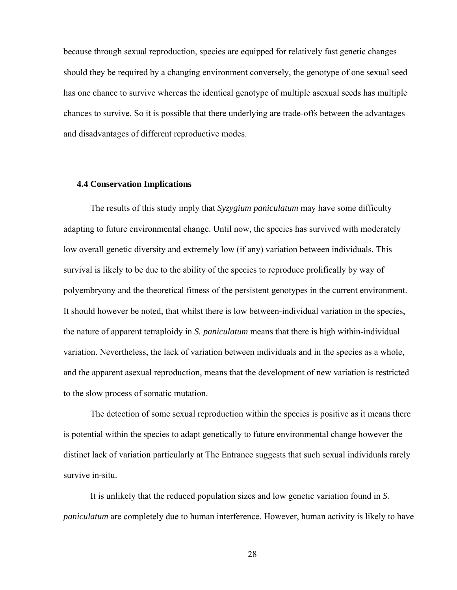because through sexual reproduction, species are equipped for relatively fast genetic changes should they be required by a changing environment conversely, the genotype of one sexual seed has one chance to survive whereas the identical genotype of multiple asexual seeds has multiple chances to survive. So it is possible that there underlying are trade-offs between the advantages and disadvantages of different reproductive modes.

#### **4.4 Conservation Implications**

The results of this study imply that *Syzygium paniculatum* may have some difficulty adapting to future environmental change. Until now, the species has survived with moderately low overall genetic diversity and extremely low (if any) variation between individuals. This survival is likely to be due to the ability of the species to reproduce prolifically by way of polyembryony and the theoretical fitness of the persistent genotypes in the current environment. It should however be noted, that whilst there is low between-individual variation in the species, the nature of apparent tetraploidy in *S. paniculatum* means that there is high within-individual variation. Nevertheless, the lack of variation between individuals and in the species as a whole, and the apparent asexual reproduction, means that the development of new variation is restricted to the slow process of somatic mutation.

The detection of some sexual reproduction within the species is positive as it means there is potential within the species to adapt genetically to future environmental change however the distinct lack of variation particularly at The Entrance suggests that such sexual individuals rarely survive in-situ.

It is unlikely that the reduced population sizes and low genetic variation found in *S. paniculatum* are completely due to human interference. However, human activity is likely to have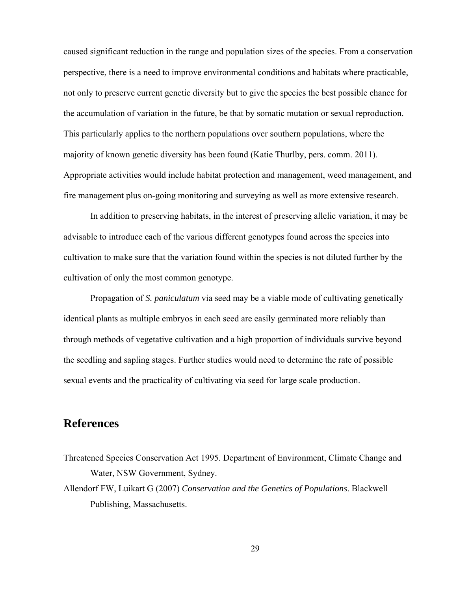caused significant reduction in the range and population sizes of the species. From a conservation perspective, there is a need to improve environmental conditions and habitats where practicable, not only to preserve current genetic diversity but to give the species the best possible chance for the accumulation of variation in the future, be that by somatic mutation or sexual reproduction. This particularly applies to the northern populations over southern populations, where the majority of known genetic diversity has been found (Katie Thurlby, pers. comm. 2011). Appropriate activities would include habitat protection and management, weed management, and fire management plus on-going monitoring and surveying as well as more extensive research.

In addition to preserving habitats, in the interest of preserving allelic variation, it may be advisable to introduce each of the various different genotypes found across the species into cultivation to make sure that the variation found within the species is not diluted further by the cultivation of only the most common genotype.

Propagation of *S. paniculatum* via seed may be a viable mode of cultivating genetically identical plants as multiple embryos in each seed are easily germinated more reliably than through methods of vegetative cultivation and a high proportion of individuals survive beyond the seedling and sapling stages. Further studies would need to determine the rate of possible sexual events and the practicality of cultivating via seed for large scale production.

## **References**

- Threatened Species Conservation Act 1995. Department of Environment, Climate Change and Water, NSW Government, Sydney.
- Allendorf FW, Luikart G (2007) *Conservation and the Genetics of Populations*. Blackwell Publishing, Massachusetts.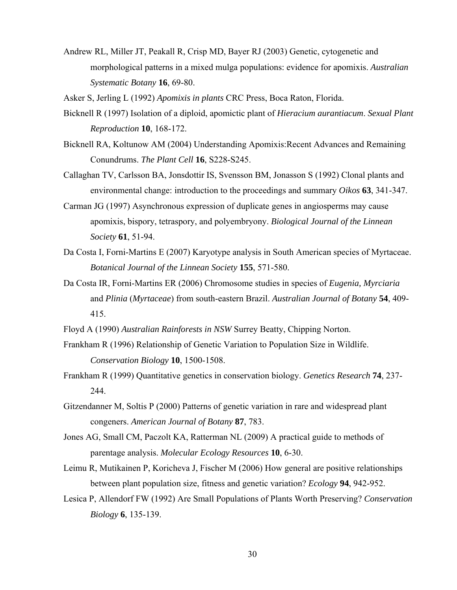Andrew RL, Miller JT, Peakall R, Crisp MD, Bayer RJ (2003) Genetic, cytogenetic and morphological patterns in a mixed mulga populations: evidence for apomixis. *Australian Systematic Botany* **16**, 69-80.

Asker S, Jerling L (1992) *Apomixis in plants* CRC Press, Boca Raton, Florida.

- Bicknell R (1997) Isolation of a diploid, apomictic plant of *Hieracium aurantiacum*. *Sexual Plant Reproduction* **10**, 168-172.
- Bicknell RA, Koltunow AM (2004) Understanding Apomixis:Recent Advances and Remaining Conundrums. *The Plant Cell* **16**, S228-S245.
- Callaghan TV, Carlsson BA, Jonsdottir IS, Svensson BM, Jonasson S (1992) Clonal plants and environmental change: introduction to the proceedings and summary *Oikos* **63**, 341-347.
- Carman JG (1997) Asynchronous expression of duplicate genes in angiosperms may cause apomixis, bispory, tetraspory, and polyembryony. *Biological Journal of the Linnean Society* **61**, 51-94.
- Da Costa I, Forni-Martins E (2007) Karyotype analysis in South American species of Myrtaceae. *Botanical Journal of the Linnean Society* **155**, 571-580.
- Da Costa IR, Forni-Martins ER (2006) Chromosome studies in species of *Eugenia, Myrciaria* and *Plinia* (*Myrtaceae*) from south-eastern Brazil. *Australian Journal of Botany* **54**, 409- 415.
- Floyd A (1990) *Australian Rainforests in NSW* Surrey Beatty, Chipping Norton.
- Frankham R (1996) Relationship of Genetic Variation to Population Size in Wildlife. *Conservation Biology* **10**, 1500-1508.
- Frankham R (1999) Quantitative genetics in conservation biology. *Genetics Research* **74**, 237- 244.
- Gitzendanner M, Soltis P (2000) Patterns of genetic variation in rare and widespread plant congeners. *American Journal of Botany* **87**, 783.
- Jones AG, Small CM, Paczolt KA, Ratterman NL (2009) A practical guide to methods of parentage analysis. *Molecular Ecology Resources* **10**, 6-30.
- Leimu R, Mutikainen P, Koricheva J, Fischer M (2006) How general are positive relationships between plant population size, fitness and genetic variation? *Ecology* **94**, 942-952.
- Lesica P, Allendorf FW (1992) Are Small Populations of Plants Worth Preserving? *Conservation Biology* **6**, 135-139.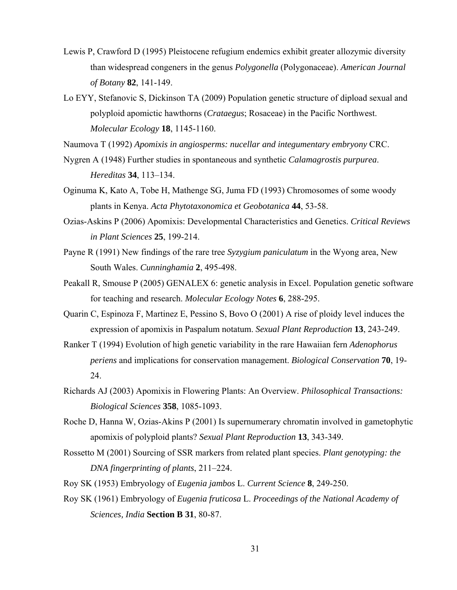- Lewis P, Crawford D (1995) Pleistocene refugium endemics exhibit greater allozymic diversity than widespread congeners in the genus *Polygonella* (Polygonaceae). *American Journal of Botany* **82**, 141-149.
- Lo EYY, Stefanovic S, Dickinson TA (2009) Population genetic structure of dipload sexual and polyploid apomictic hawthorns (*Crataegus*; Rosaceae) in the Pacific Northwest. *Molecular Ecology* **18**, 1145-1160.

Naumova T (1992) *Apomixis in angiosperms: nucellar and integumentary embryony* CRC.

- Nygren A (1948) Further studies in spontaneous and synthetic *Calamagrostis purpurea*. *Hereditas* **34**, 113–134.
- Oginuma K, Kato A, Tobe H, Mathenge SG, Juma FD (1993) Chromosomes of some woody plants in Kenya. *Acta Phytotaxonomica et Geobotanica* **44**, 53-58.
- Ozias-Askins P (2006) Apomixis: Developmental Characteristics and Genetics. *Critical Reviews in Plant Sciences* **25**, 199-214.
- Payne R (1991) New findings of the rare tree *Syzygium paniculatum* in the Wyong area, New South Wales. *Cunninghamia* **2**, 495-498.
- Peakall R, Smouse P (2005) GENALEX 6: genetic analysis in Excel. Population genetic software for teaching and research. *Molecular Ecology Notes* **6**, 288-295.
- Quarin C, Espinoza F, Martinez E, Pessino S, Bovo O (2001) A rise of ploidy level induces the expression of apomixis in Paspalum notatum. *Sexual Plant Reproduction* **13**, 243-249.
- Ranker T (1994) Evolution of high genetic variability in the rare Hawaiian fern *Adenophorus periens* and implications for conservation management. *Biological Conservation* **70**, 19- 24.
- Richards AJ (2003) Apomixis in Flowering Plants: An Overview. *Philosophical Transactions: Biological Sciences* **358**, 1085-1093.
- Roche D, Hanna W, Ozias-Akins P (2001) Is supernumerary chromatin involved in gametophytic apomixis of polyploid plants? *Sexual Plant Reproduction* **13**, 343-349.
- Rossetto M (2001) Sourcing of SSR markers from related plant species. *Plant genotyping: the DNA fingerprinting of plants*, 211–224.
- Roy SK (1953) Embryology of *Eugenia jambos* L. *Current Science* **8**, 249-250.
- Roy SK (1961) Embryology of *Eugenia fruticosa* L. *Proceedings of the National Academy of Sciences, India* **Section B 31**, 80-87.